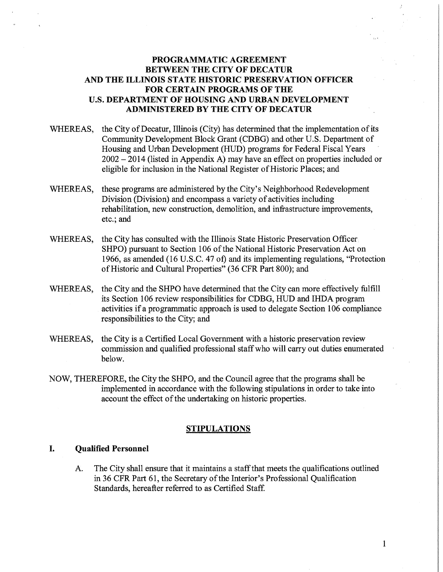## **PROGRAMMATIC AGREEMENT BETWEEN THE CITY OF DECATUR AND THE ILLINOIS STATE HISTORIC PRESERVATION OFFICER FOR CERTAIN PROGRAMS OF THE U.S. DEPARTMENT OF HOUSING AND URBAN DEVELOPMENT ADMINISTERED BY THE CITY OF DECATUR**

- WHEREAS, the City of Decatur, Illinois (City) has determined that the implementation of its Community Development Block Grant (CDBG) and other U.S. Department of Housing and Urban Development (HUD) programs for Federal Fiscal Years 2002 - 2014 (listed in Appendix A) may have an effect on properties included or eligible for inclusion in the National Register of Historic Places; and
- WHEREAS, these programs are administered by the City's Neighborhood Redevelopment Division (Division) and encompass a variety of activities including rehabilitation, new construction, demolition, and infrastructure improvements, etc.; and
- WHEREAS, the City has consulted with the Illinois State Historic Preservation Officer SHPO) pursuant to Section 106 of the National Historic Preservation Act on 1966, as amended (16 U.S.C. 47 of) and its implementing regulations, "Protection of Historic and Cultural Properties" (36 CFR Part 800); and
- WHEREAS, the City and the SHPO have determined that the City can more effectively fulfill its Section 106 review responsibilities for CDBG, HUD and IHDA program activities if a programmatic approach is used to delegate Section 106 compliance responsibilities to the City; and
- WHEREAS, the City is a Certified Local Government with a historic preservation review commission and qualified professional staff who will carry out duties enumerated below.
- NOW, THEREFORE, the City the SHPO, and the Council agree that the programs shall be implemented in accordance with the following stipulations in order to take into account the effect of the undertaking on historic properties.

#### **STIPULATIONS**

### I. **Qualified Personnel**

A. The City shall ensure that it maintains a staff that meets the qualifications outlined in 36 CFR Part 61, the Secretary of the Interior's Professional Qualification Standards, hereafter referred to as Certified Staff.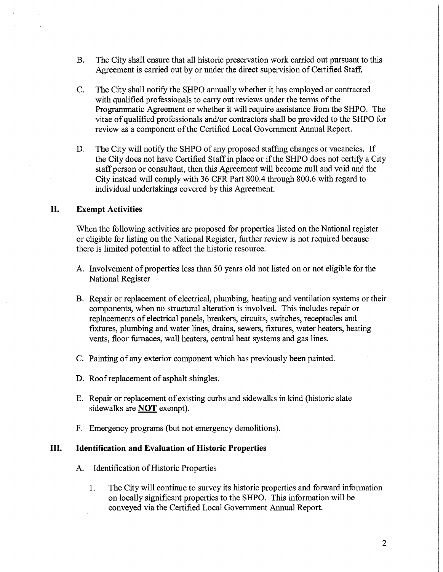- B. The City shall ensure that all historic preservation work carried out pursuant to this Agreement is carried out by or under the direct supervision of Certified Staff.
- C. The City shall notify the SHPO annually whether it has employed or contracted with qualified professionals to carry out reviews under the terms of the Programmatic Agreement or whether it will require assistance from the SHPO. The vitae of qualified professionals and/or contractors shall be provided to the SHPO for review as a component of the Certified Local Government Annual Report.
- D. The City will notify the SHPO of any proposed staffing changes or vacancies. If the City does not have Certified Staff in place or if the SHPO does not certify a City staff person or consultant, then this Agreement will become null and void and the City instead will comply with 36 CFR Part 800.4 through 800.6 with regard to individual undertakings covered by this Agreement.

#### **II. Exempt Activities**

When the following activities are proposed for properties listed on the National register or eligible for listing on the National Register, further review is not required because there is limited potential to affect the historic resource.

- A. Involvement of properties less than 50 years old not listed on or not eligible for the National Register
- B. Repair or replacement of electrical, plumbing, heating and ventilation systems or their components, when no structural alteration is involved. This includes repair or replacements of electrical panels, breakers, circuits, switches, receptacles and fixtures, plumbing and water lines, drains, sewers, fixtures, water heaters, heating vents, floor furnaces, wall heaters, central heat systems and gas lines.
- C. Painting of any exterior component which has previously been painted.
- D. Roof replacement of asphalt shingles.
- E. Repair or replacement of existing curbs and sidewalks in kind (historic slate sidewalks are **NOT** exempt).
- F. Emergency programs (but not emergency demolitions).

### III. **Identification and Evaluation of Historic Properties**

- A. Identification of Historic Properties
	- 1. The City will continue to survey its historic properties and forward information on locally significant properties to the SHPO. This information will be conveyed via the Certified Local Government Annual Report.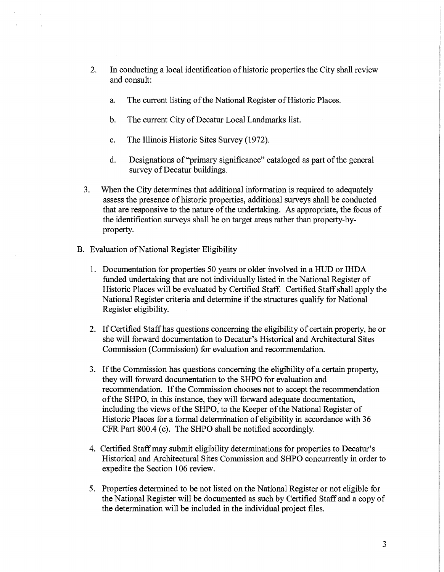- 2. In conducting a local identification of historic properties the City shall review and consult:
	- a. The current listing of the National Register of Historic Places.
	- b. The current City of Decatur Local Landmarks list.
	- c. The Illinois Historic Sites Survey (1972).
	- d. Designations of "primary significance" cataloged as part of the general survey of Decatur buildings
- 3. When the City determines that additional information is required to adequately assess the presence of historic properties, additional surveys shall be conducted that are responsive to the nature of the undertaking. As appropriate, the focus of the identification surveys shall be on target areas rather than property-byproperty.
- B. Evaluation of National Register Eligibility
	- 1. Documentation for properties 50 years or older involved in a HUD or IHDA funded undertaking that are not individually listed in the National Register of Historic Places will be evaluated by Certified Staff. Certified Staff shall apply the National Register criteria and determine if the structures qualify for National Register eligibility.
	- 2. If Certified Staff has questions concerning the eligibility of certain property, he or she will forward documentation to Decatur's Historical and Architectural Sites Commission (Commission) for evaluation and recommendation.
	- 3. If the Commission has questions concerning the eligibility of a certain property, they will forward documentation to the SHPO for evaluation and recommendation. If the Commission chooses not to accept the recommendation of the SHPO, in this instance, they will forward adequate documentation, including the views of the SHPO, to the Keeper of the National Register of Historic Places for a formal determination of eligibility in accordance with 36 CPR Part 800.4 (c). The SHPO shall be notified accordingly.
	- 4. Certified Staff may submit eligibility determinations for properties to Decatur's Historical and Architectural Sites Commission and SHPO concurrently in order to expedite the Section 106 review.
	- 5. Properties determined to be not listed on the National Register or not eligible for the National Register will be documented as such by Certified Staff and a copy of the determination will be included in the individual project files.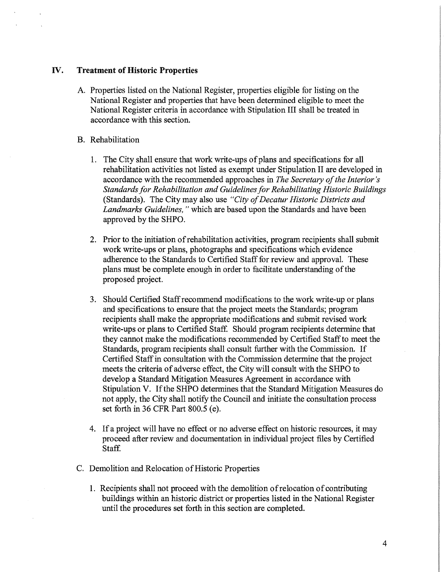### IV. **Treatment of Historic Properties**

- A. Properties listed on the National Register, properties eligible for listing on the National Register and properties that have been determined eligible to meet the National Register criteria in accordance with Stipulation III shall be treated in accordance with this section.
- B. Rehabilitation
	- 1. The City shall ensure that work write-ups of plans and specifications for all rehabilitation activities not listed as exempt under Stipulation II are developed in accordance with the recommended approaches in *The Secretary of the Interior's Standards for Rehabilitation and Guidelines for Rehabilitating Historic Buildings*  (Standards). The City may also use *"City of Decatur Historic Districts and Landmarks Guidelines,* " which are based upon the Standards and have been approved by the SHPO.
	- 2. Prior to the initiation of rehabilitation activities, program recipients shall submit work write-ups or plans, photographs and specifications which evidence adherence to the Standards to Certified Staff for review and approval. These plans must be complete enough in order to facilitate understanding of the proposed project.
	- 3. Should Certified Staff recommend modifications to the work write-up or plans and specifications to ensure that the project meets the Standards; program recipients shall make the appropriate modifications and submit revised work write-ups or plans to Certified Staff. Should program recipients determine that they cannot make the modifications recommended by Certified Staff to meet the Standards, program recipients shall consult further with the Commission. If Certified Staff in consultation with the Commission determine that the project meets the criteria of adverse effect, the City will consult with the SHPO to develop a Standard Mitigation Measures Agreement in accordance with Stipulation V. If the SHPO determines that the Standard Mitigation Measures do not apply, the City shall notify the Council and initiate the consultation process set forth in 36 CFR Part 800.5 (e).
	- 4. If a project will have no effect or no adverse effect on historic resources, it may proceed after review and documentation in individual project files by Certified Staff.
- C. Demolition and Relocation of Historic Properties
	- 1. Recipients shall not proceed with the demolition of relocation of contributing buildings within an historic district or properties listed in the National Register until the procedures set forth in this section are completed.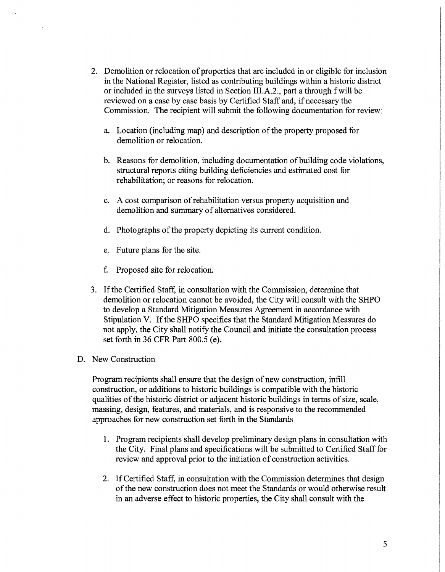- 2. Demolition or relocation of properties that are included in or eligible for inclusion in the National Register, listed as contributing buildings within a historic district or included in the surveys listed in Section III.A.2., part a through fwill be reviewed on a case by case basis by Certified Staff and, if necessary the Commission. The recipient will submit the following documentation for review:
	- a. Location (including map) and description of the property proposed for demolition or relocation.
	- b. Reasons for demolition, including documentation of building code violations, structural reports citing building deficiencies and estimated cost for rehabilitation; or reasons for relocation.
	- c. A cost comparison ofrehabilitation versus property acquisition and demolition and summary of alternatives considered.
	- d. Photographs of the property depicting its current condition.
	- e. Future plans for the site.
	- £ Proposed site for relocation.
- 3. If the Certified Staff, in consultation with the Commission, determine that demolition or relocation cannot be avoided, the City will consult with the SHPO to develop a Standard Mitigation Measures Agreement in accordance with Stipulation V. If the SHPO specifies that the Standard Mitigation Measures do not apply, the City shall notify the Council and initiate the consultation process set forth in 36 CFR Part 800.5 (e).
- D. New Construction

Program recipients shall ensure that the design of new construction, infill construction, or additions to historic buildings is compatible with the historic qualities of the historic district or adjacent historic buildings in terms of size, scale, massing, design, features, and materials, and is responsive to the recommended approaches for new construction set forth in the Standards

- 1. Program recipients shall develop preliminary design plans in consultation with the City. Final plans and specifications will be submitted to Certified Staff for review and approval prior to the initiation of construction activities.
- 2. If Certified Staff, in consultation with the Commission determines that design of the new construction does not meet the Standards or would otherwise result in an adverse effect to historic properties, the City shall consult with the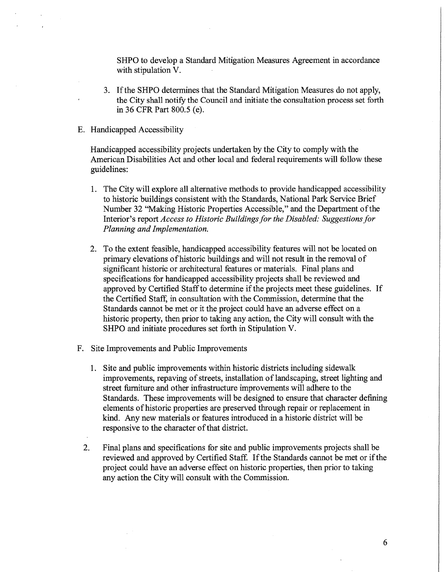SHPO to develop a Standard Mitigation Measures Agreement in accordance with stipulation V.

- 3. If the SHPO determines that the Standard Mitigation Measures do not apply, the City shall notify the Council and initiate the consultation process set forth in 36 CFR Part 800.5 (e).
- E. Handicapped Accessibility

Handicapped accessibility projects undertaken by the City to comply with the American Disabilities Act and other local and federal requirements will follow these guidelines:

- 1. The City will explore all alternative methods to provide handicapped accessibility to historic buildings consistent with the Standards, National Park Service Brief Number 32 "Making Historic Properties Accessible," and the Department of the Interior's report *Access to Historic Buildings for the Disabled: Suggestions for Planning and Implementation.*
- 2. To the extent feasible, handicapped accessibility features will not be located on primary elevations of historic buildings and will not result in the removal of significant historic or architectural features or materials. Final plans and specifications for handicapped accessibility projects shall be reviewed and approved by Certified Staff to determine if the projects meet these guidelines. If the Certified Staff, in consultation with the Commission, determine that the Standards cannot be met or it the project could have an adverse effect on a historic property, then prior to taking any action, the City will consult with the SHPO and initiate procedures set forth in Stipulation V.
- F. Site Improvements and Public Improvements
	- 1. Site and public improvements within historic districts including sidewalk improvements, repaving of streets, installation of landscaping, street lighting and street furniture and other infrastructure improvements will adhere to the Standards. These improvements will be designed to ensure that character defining elements of historic properties are preserved through repair or replacement in kind. Any new materials or features introduced in a historic district will be responsive to the character of that district.
	- 2. Final plans and specifications for site and public improvements projects shall be reviewed and approved by Certified Staff. If the Standards cannot be met or if the project could have an adverse effect on historic properties, then prior to taking any action the City will consult with the Commission.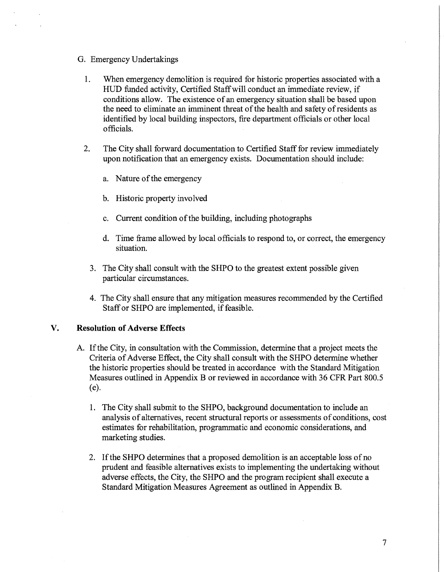- G. Emergency Undertakings
	- 1. When emergency demolition is required for historic properties associated with a HUD funded activity, Certified Staff will conduct an immediate review, if conditions allow. The existence of an emergency situation shall be based upon the need to eliminate an imminent threat of the health and safety ofresidents as identified by local building inspectors, fire department officials or other local officials.
	- 2. The City shall forward documentation to Certified Staff for review immediately upon notification that an emergency exists. Documentation should include:
		- a. Nature of the emergency
		- b. Historic property involved
		- c. Current condition of the building, including photographs
		- d. Time frame allowed by local officials to respond to, or correct, the emergency situation.
		- 3. The City shall consult with the SHPO to the greatest extent possible given particular circumstances.
		- 4. The City shall ensure that any mitigation measures recommended by the Certified Staff or SHPO are implemented, if feasible.

### **V. Resolution of Adverse Effects**

- A. If the City, in consultation with the Commission, determine that a project meets the Criteria of Adverse Effect, the City shall consult with the SHPO determine whether the historic properties should be treated in accordance with the Standard Mitigation Measures outlined in Appendix B or reviewed in accordance with 36 CFR Part 800.5 (e).
	- 1. The City shall submit to the SHPO, background documentation to include an analysis of alternatives, recent structural reports or assessments of conditions, cost estimates for rehabilitation, programmatic and economic considerations, and marketing studies.
	- 2. If the SHPO determines that a proposed demolition is an acceptable loss ofno prudent and feasible alternatives exists to implementing the undertaking without adverse effects, the City, the SHPO and the program recipient shall execute a Standard Mitigation Measures Agreement as outlined in Appendix B.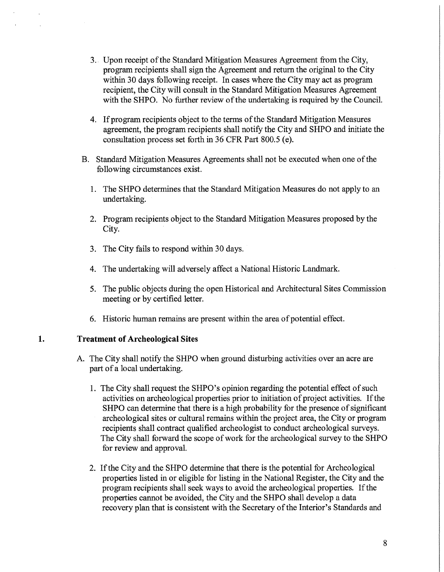- 3. Upon receipt of the Standard Mitigation Measures Agreement from the City, program recipients shall sign the Agreement and return the original to the City within 30 days following receipt. In cases where the City may act as program recipient, the City will consult in the Standard Mitigation Measures Agreement with the SHPO. No further review of the undertaking is required by the Council.
- 4. If program recipients object to the terms of the Standard Mitigation Measures agreement, the program recipients shall notify the City and SHPO and initiate the consultation process set forth in 36 CFR Part 800.5 (e).
- B. Standard Mitigation Measures Agreements shall not be executed when one of the following circumstances exist.
	- 1. The SHPO determines that the Standard Mitigation Measures do not apply to an undertaking.
	- 2. Program recipients object to the Standard Mitigation Measures proposed by the City.
	- 3. The City fails to respond within 30 days.
	- 4. The undertaking will adversely affect a National Historic Landmark.
	- 5. The public objects during the open Historical and Architectural Sites Commission meeting or by certified letter.
	- 6. Historic human remains are present within the area of potential effect.

### **1. Treatment of Archeological Sites**

- A. The City shall notify the SHPO when ground disturbing activities over an acre are part of a local undertaking.
	- 1. The City shall request the SHPO's opinion regarding the potential effect of such activities on archeological properties prior to initiation of project activities. If the SHPO can determine that there is a high probability for the presence of significant archeological sites or cultural remains within the project area, the City or program recipients shall contract qualified archeologist to conduct archeological surveys. The City shall forward the scope of work for the archeological survey to the SHPO for review and approval.
	- 2. If the City and the SHPO determine that there is the potential for Archeological properties listed in or eligible for listing in the National Register, the City and the program recipients shall seek ways to avoid the archeological properties. If the properties cannot be avoided, the City and the SHPO shall develop a data recovery plan that is consistent with the Secretary of the Interior's Standards and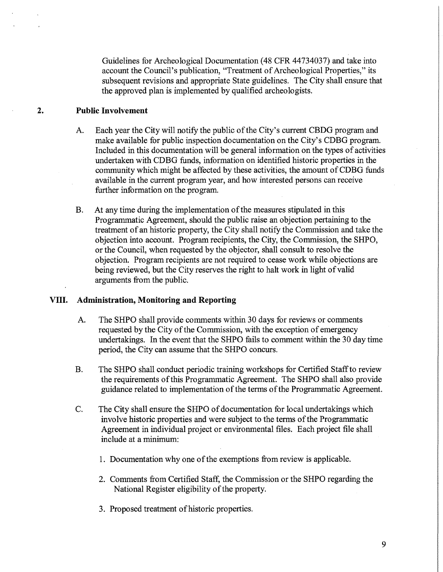Guidelines for Archeological Documentation (48 CFR 44734037) and take into account the Council's publication, "Treatment of Archeological Properties," its subsequent revisions and appropriate State guidelines. The City shall ensure that the approved plan is implemented by qualified archeologists.

### **2. Public Involvement**

- A. Each year the City will notify the public of the City's current CBDG program and make available for public inspection documentation on the City's CDBG program. Included in this documentation will be general information on the types of activities undertaken with CDBG funds, information on identified historic properties in the community which might be affected by these activities, the amount of CDBG funds available in the current program year, and how interested persons can receive further information on the program.
- B. At any time during the implementation of the measures stipulated in this Programmatic Agreement, should the public raise an objection pertaining to the treatment of an historic property, the City shall notify the Commission and take the objection into account. Program recipients, the City, the Commission, the SHPO, or the Council, when requested by the objector, shall consult to resolve the objection. Program recipients are not required to cease work while objections are being reviewed, but the City reserves the right to halt work in light of valid arguments from the public.

### **VIII. Administration, Monitoring and Reporting**

- A. The SHPO shall provide comments within 30 days for reviews or comments requested by the City of the Commission, with the exception of emergency undertakings. In the event that the SHPO fails to comment within the 30 day time period, the City can assume that the SHPO concurs.
- B. The SHPO shall conduct periodic training workshops for Certified Staff to review the requirements of this Programmatic Agreement. The SHPO shall also provide guidance related to implementation of the terms of the Programmatic Agreement.
- C. The City shall ensure the SHPO of documentation for local undertakings which involve historic properties and were subject to the terms of the Programmatic Agreement in individual project or environmental files. Each project file shall include at a minimum:
	- 1. Documentation why one of the exemptions from review is applicable.
	- 2. Comments from Certified Staff, the Commission or the SHPO regarding the National Register eligibility of the property.
	- 3. Proposed treatment of historic properties.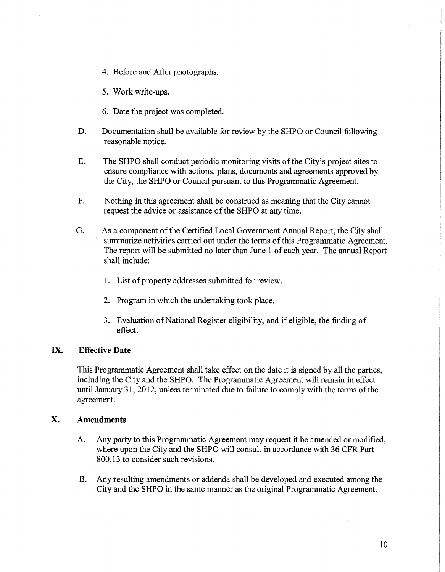- 4. Before and After photographs.
- 5. Work write-ups.
- 6. Date the project was completed.
- D. Documentation shall be available for review by the SHPO or Council following reasonable notice.
- E. The SHPO shall conduct periodic monitoring visits of the City's project sites to ensure compliance with actions, plans, documents and agreements approved by the City, the SHPO or Council pursuant to this Programmatic Agreement.
- F. Nothing in this agreement shall be construed as meaning that the City cannot request the advice or assistance of the SHPO at any time.
- G. As a component of the Certified Local Government Annual Report, the City shall summarize activities carried out under the terms of this Programmatic Agreement. The report will be submitted no later than June 1 of each year. The annual Report shall include:
	- 1. List of property addresses submitted for review.
	- 2. Program in which the undertaking took place.
	- 3. Evaluation of National Register eligibility, and if eligible, the finding of effect.

### IX. **Effective Date**

This Programmatic Agreement shall take effect on the date it is signed by all the parties, including the City and the SHPO. The Programmatic Agreement will remain in effect until January 31, 2012, unless terminated due to failure to comply with the terms of the agreement.

### **X. Amendments**

- A. Any party to this Programmatic Agreement may request it be amended or modified, where upon the City and the SHPO will consult in accordance with 36 CFR Part 800.13 to consider such revisions.
- B. Any resulting amendments or addenda shall be developed and executed among the City and the SHPO in the same manner as the original Programmatic Agreement.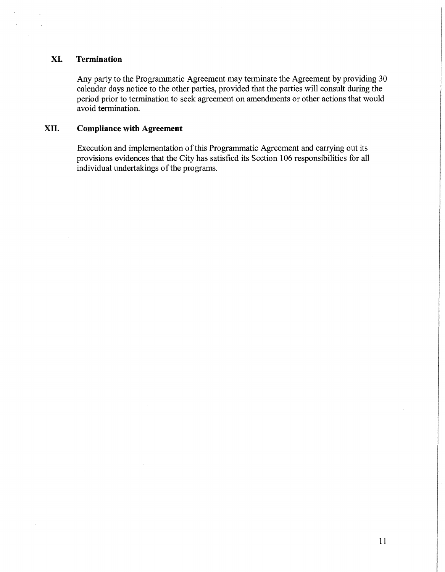### **XI. Termination**

Any party to the Programmatic Agreement may terminate the Agreement by providing 30 calendar days notice to the other parties, provided that the parties will consult during the period prior to termination to seek agreement on amendments or other actions that would avoid termination.

# **XII. Compliance with Agreement**

Execution and implementation of this Programmatic Agreement and carrying out its provisions evidences that the City has satisfied its Section 106 responsibilities for all individual undertakings of the programs.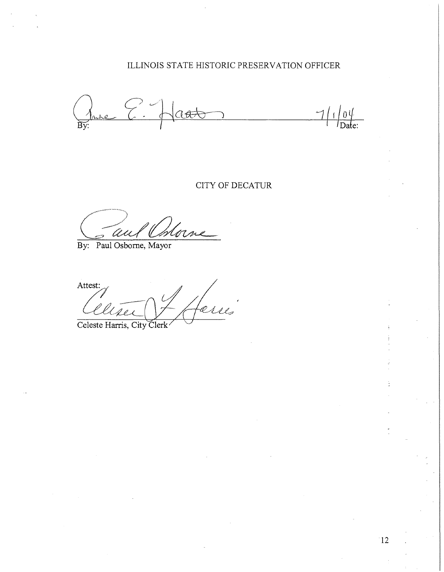# ILLINOIS STATE HISTORIC PRESERVATION OFFICER

Prince  $\epsilon$  $\sqrt{a+b}$  $71$  $\frac{10}{\text{Date}}$ 

## CITY OF DECATUR

Morne U

By: **Paul** Osborne, Mayor

Attest:

Celeste Harris, City Clerk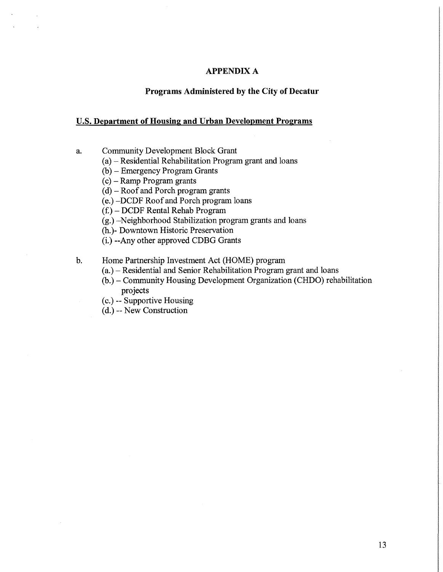### **APPENDIX A**

### **Programs Administered by the City of Decatur**

#### **U.S. Department of Housing and Urban Development Programs**

- a. Community Development Block Grant
	- (a)-Residential Rehabilitation Program grant and loans
	- (b) Emergency Program Grants
	- (c)-Ramp Program grants
	- $(d)$  Roof and Porch program grants
	- (e.)-DCDF Roof and Porch program loans
	- $(f<sub>i</sub>)$  DCDF Rental Rehab Program
	- (g.)-Neighborhood Stabilization program grants and loans
	- (h. )- Downtown Historic Preservation
	- (i.) --Any other approved CDBG Grants
- b. Home Partnership Investment Act (HOME) program
	- (a.)- Residential and Senior Rehabilitation Program grant and loans
	- (b.)- Community Housing Development Organization (CHDO) rehabilitation projects
	- ( c.) -- Supportive Housing
	- (d.) -- New Construction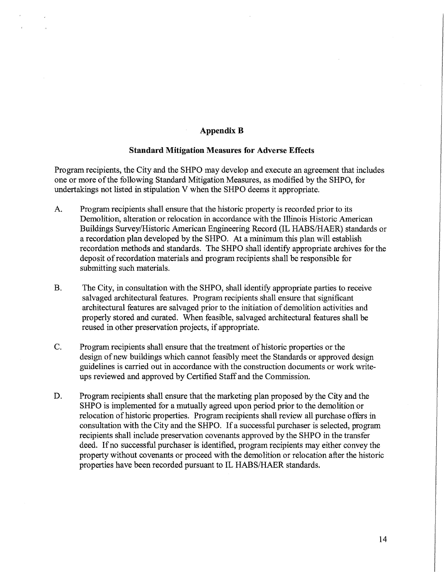### **Appendix B**

#### **Standard Mitigation Measures for Adverse Effects**

Program recipients, the City and the SHPO may develop and execute an agreement that includes one or more of the following Standard Mitigation Measures, as modified by the SHPO, for undertakings not listed in stipulation V when the SHPO deems it appropriate.

- A. Program recipients shall ensure that the historic property is recorded prior to its Demolition, alteration or relocation in accordance with the Illinois Historic American Buildings Survey/Historic American Engineering Record (IL HABS/HAER) standards or a recordation plan developed by the SHPO. At a minimum this plan will establish recordation methods and standards. The SHPO shall identify appropriate archives for the deposit of recordation materials and program recipients shall be responsible for submitting such materials.
- B. The City, in consultation with the SHPO, shall identify appropriate parties to receive salvaged architectural features. Program recipients shall ensure that significant architectural features are salvaged prior to the initiation of demolition activities and properly stored and curated. When feasible, salvaged architectural features shall be reused in other preservation projects, if appropriate.
- C. Program recipients shall ensure that the treatment of historic properties or the design of new buildings which cannot feasibly meet the Standards or approved design guidelines is carried out in accordance with the construction documents or work writeups reviewed and approved by Certified Staff and the Commission.
- D. Program recipients shall ensure that the marketing plan proposed by the City and the SHPO is implemented for a mutually agreed upon period prior to the demolition or relocation of historic properties. Program recipients shall review all purchase offers in consultation with the City and the SHPO. If a successful purchaser is selected, program recipients shall include preservation covenants approved by the SHPO in the transfer deed. If no successful purchaser is identified, program recipients may either convey the property without covenants or proceed with the demolition or relocation after the historic properties have been recorded pursuant to IL HABS/HAER standards.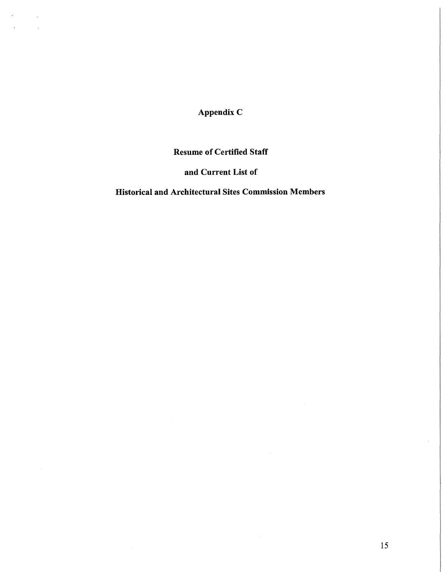Appendix C

 $\bar{\bar{z}}$ 

 $\overline{a}$ 

# Resume of Certified Staff

# and Current List of

## Historical and Architectural Sites Commission Members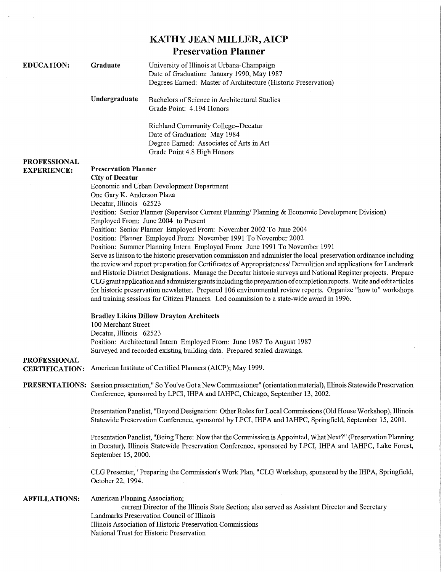|                                              |                                                                                                                                                                                                                                                                                                                                                                                                                                                                                                                                                                                                                                                                                               | <b>KATHY JEAN MILLER, AICP</b>                                                                                                                                                                                                                         |
|----------------------------------------------|-----------------------------------------------------------------------------------------------------------------------------------------------------------------------------------------------------------------------------------------------------------------------------------------------------------------------------------------------------------------------------------------------------------------------------------------------------------------------------------------------------------------------------------------------------------------------------------------------------------------------------------------------------------------------------------------------|--------------------------------------------------------------------------------------------------------------------------------------------------------------------------------------------------------------------------------------------------------|
|                                              |                                                                                                                                                                                                                                                                                                                                                                                                                                                                                                                                                                                                                                                                                               | <b>Preservation Planner</b>                                                                                                                                                                                                                            |
| <b>EDUCATION:</b>                            | Graduate                                                                                                                                                                                                                                                                                                                                                                                                                                                                                                                                                                                                                                                                                      | University of Illinois at Urbana-Champaign<br>Date of Graduation: January 1990, May 1987<br>Degrees Earned: Master of Architecture (Historic Preservation)                                                                                             |
|                                              | Undergraduate                                                                                                                                                                                                                                                                                                                                                                                                                                                                                                                                                                                                                                                                                 | Bachelors of Science in Architectural Studies<br>Grade Point: 4.194 Honors                                                                                                                                                                             |
|                                              |                                                                                                                                                                                                                                                                                                                                                                                                                                                                                                                                                                                                                                                                                               | Richland Community College--Decatur<br>Date of Graduation: May 1984<br>Degree Earned: Associates of Arts in Art<br>Grade Point 4.8 High Honors                                                                                                         |
| <b>PROFESSIONAL</b><br><b>EXPERIENCE:</b>    | <b>Preservation Planner</b>                                                                                                                                                                                                                                                                                                                                                                                                                                                                                                                                                                                                                                                                   |                                                                                                                                                                                                                                                        |
|                                              | <b>City of Decatur</b>                                                                                                                                                                                                                                                                                                                                                                                                                                                                                                                                                                                                                                                                        |                                                                                                                                                                                                                                                        |
|                                              | Economic and Urban Development Department<br>One Gary K. Anderson Plaza<br>Decatur, Illinois 62523                                                                                                                                                                                                                                                                                                                                                                                                                                                                                                                                                                                            |                                                                                                                                                                                                                                                        |
|                                              | Position: Senior Planner (Supervisor Current Planning/ Planning & Economic Development Division)<br>Employed From: June 2004 to Present                                                                                                                                                                                                                                                                                                                                                                                                                                                                                                                                                       |                                                                                                                                                                                                                                                        |
|                                              | Position: Senior Planner Employed From: November 2002 To June 2004<br>Position: Planner Employed From: November 1991 To November 2002<br>Position: Summer Planning Intern Employed From: June 1991 To November 1991                                                                                                                                                                                                                                                                                                                                                                                                                                                                           |                                                                                                                                                                                                                                                        |
|                                              |                                                                                                                                                                                                                                                                                                                                                                                                                                                                                                                                                                                                                                                                                               |                                                                                                                                                                                                                                                        |
|                                              | Serve as liaison to the historic preservation commission and administer the local preservation ordinance including<br>the review and report preparation for Certificates of Appropriateness/ Demolition and applications for Landmark<br>and Historic District Designations. Manage the Decatur historic surveys and National Register projects. Prepare<br>CLG grant application and administer grants including the preparation of completion reports. Write and edit articles<br>for historic preservation newsletter. Prepared 106 environmental review reports. Organize "how to" workshops<br>and training sessions for Citizen Planners. Led commission to a state-wide award in 1996. |                                                                                                                                                                                                                                                        |
| <b>PROFESSIONAL</b><br><b>CERTIFICATION:</b> | <b>Bradley Likins Dillow Drayton Architects</b><br>100 Merchant Street<br>Decatur, Illinois 62523<br>Position: Architectural Intern Employed From: June 1987 To August 1987<br>Surveyed and recorded existing building data. Prepared scaled drawings.                                                                                                                                                                                                                                                                                                                                                                                                                                        |                                                                                                                                                                                                                                                        |
|                                              |                                                                                                                                                                                                                                                                                                                                                                                                                                                                                                                                                                                                                                                                                               | American Institute of Certified Planners (AICP); May 1999.                                                                                                                                                                                             |
|                                              |                                                                                                                                                                                                                                                                                                                                                                                                                                                                                                                                                                                                                                                                                               | PRESENTATIONS: Session presentation," So You've Got a New Commissioner" (orientation material), Illinois Statewide Preservation<br>Conference, sponsored by LPCI, IHPA and IAHPC, Chicago, September 13, 2002.                                         |
|                                              | Presentation Panelist, "Beyond Designation: Other Roles for Local Commissions (Old House Workshop), Illinois<br>Statewide Preservation Conference, sponsored by LPCI, IHPA and IAHPC, Springfield, September 15, 2001.                                                                                                                                                                                                                                                                                                                                                                                                                                                                        |                                                                                                                                                                                                                                                        |
|                                              | Presentation Panelist, "Being There: Now that the Commission is Appointed, What Next?" (Preservation Planning<br>in Decatur), Illinois Statewide Preservation Conference, sponsored by LPCI, IHPA and IAHPC, Lake Forest,<br>September 15, 2000.                                                                                                                                                                                                                                                                                                                                                                                                                                              |                                                                                                                                                                                                                                                        |
|                                              | October 22, 1994.                                                                                                                                                                                                                                                                                                                                                                                                                                                                                                                                                                                                                                                                             | CLG Presenter, "Preparing the Commission's Work Plan, "CLG Workshop, sponsored by the IHPA, Springfield,                                                                                                                                               |
| <b>AFFILLATIONS:</b>                         | American Planning Association;                                                                                                                                                                                                                                                                                                                                                                                                                                                                                                                                                                                                                                                                | current Director of the Illinois State Section; also served as Assistant Director and Secretary<br>Landmarks Preservation Council of Illinois<br>Illinois Association of Historic Preservation Commissions<br>National Trust for Historic Preservation |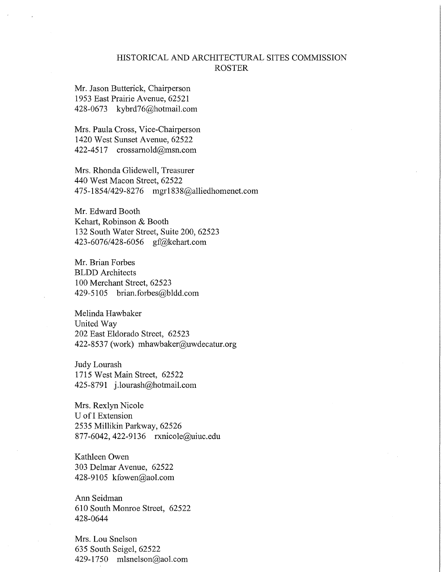## HISTORICAL AND ARCHITECTURAL SITES COMMISSION ROSTER

Mr. Jason Butterick, Chairperson 1953 East Prairie Avenue, 62521 428-0673 kybrd76@hotmail.com

Mrs. Paula Cross, Vice-Chairperson 1420 West Sunset Avenue, 62522 422-4517 crossamold@msn.com

Mrs. Rhonda Glidewell, Treasurer 440 West Macon Street, 62522 475-1854/429-8276 mgr1838@alliedhomenet.com

Mr. Edward Booth Kehart, Robinson & Booth 132 South Water Street, Suite 200, 62523 423-6076/428-6056 gf@kehart.com

Mr. Brian Forbes BLDD Architects 100 Merchant Street, 62523 429-5105 brian.forbes@bldd.com

Melinda Hawbaker United Way 202 East Eldorado Street, 62523 422-8537 (work) mhawbaker@uwdecatur.org

Judy Lourash 1715 West Main Street, 62522 425-8791 j.lourash@hotmail.com

Mrs. Rexlyn Nicole U of I Extension 2535 Millikin Parkway, 62526 877-6042, 422-9136 rxnicole@uiuc.edu

Kathleen Owen 303 Delmar Avenue, 62522 428-9105 kfowen@aol.com

Ann Seidman 610 South Monroe Street, 62522 428-0644

Mrs. Lou Snelson 635 South Seigel, 62522 429-1750 mlsnelson@aol.com